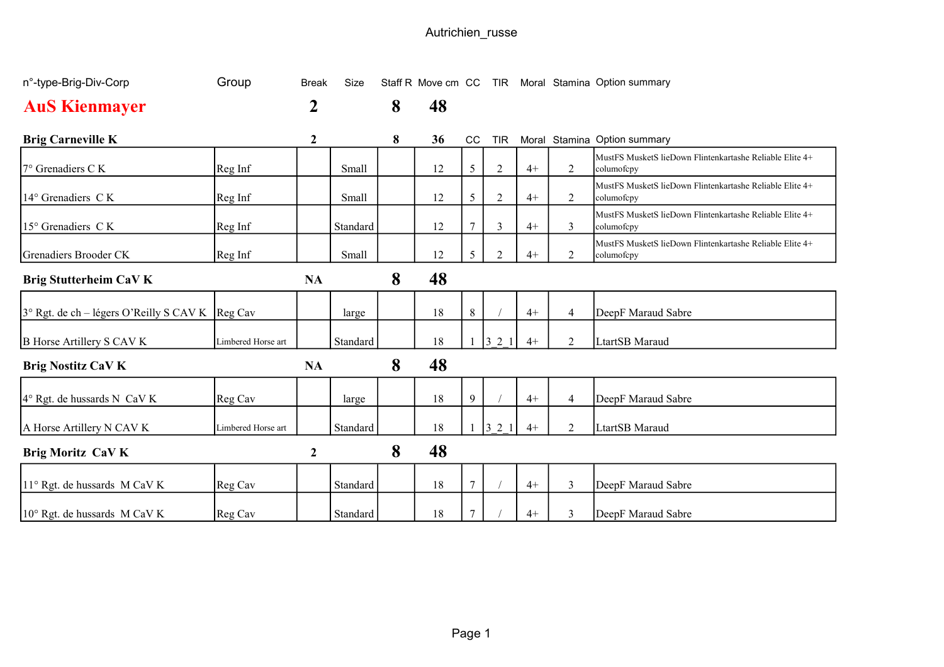| n°-type-Brig-Div-Corp                                    | Group              | <b>Break</b>     | <b>Size</b> |   |    |        |                |      |                | Staff R Move cm CC TIR Moral Stamina Option summary                    |
|----------------------------------------------------------|--------------------|------------------|-------------|---|----|--------|----------------|------|----------------|------------------------------------------------------------------------|
| <b>AuS Kienmayer</b>                                     |                    | 2                |             | 8 | 48 |        |                |      |                |                                                                        |
| <b>Brig Carneville K</b>                                 |                    | $\boldsymbol{2}$ |             | 8 | 36 | CC     | TIR            |      |                | Moral Stamina Option summary                                           |
| $7^\circ$ Grenadiers C K                                 | Reg Inf            |                  | Small       |   | 12 | 5      | $\overline{2}$ | $4+$ | 2              | MustFS MusketS lieDown Flintenkartashe Reliable Elite 4+<br>columofcpy |
| 14° Grenadiers CK                                        | Reg Inf            |                  | Small       |   | 12 | 5      | $\overline{2}$ | $4+$ | 2              | MustFS MusketS lieDown Flintenkartashe Reliable Elite 4+<br>columofcpy |
| $15^{\circ}$ Grenadiers CK                               | Reg Inf            |                  | Standard    |   | 12 | 7      | 3              | $4+$ | 3              | MustFS MusketS lieDown Flintenkartashe Reliable Elite 4+<br>columofcpy |
| Grenadiers Brooder CK                                    | Reg Inf            |                  | Small       |   | 12 | 5      | $\overline{2}$ | $4+$ | $\overline{2}$ | MustFS MusketS lieDown Flintenkartashe Reliable Elite 4+<br>columofcpy |
| Brig Stutterheim CaV K                                   |                    | <b>NA</b>        |             | 8 | 48 |        |                |      |                |                                                                        |
| $3^{\circ}$ Rgt. de ch – légers O'Reilly S CAV K Reg Cav |                    |                  | large       |   | 18 | 8      |                | $4+$ | $\overline{4}$ | DeepF Maraud Sabre                                                     |
| <b>B</b> Horse Artillery S CAV K                         | Limbered Horse art |                  | Standard    |   | 18 |        | 321            | $4+$ | 2              | LtartSB Maraud                                                         |
| <b>Brig Nostitz CaV K</b>                                |                    | <b>NA</b>        |             | 8 | 48 |        |                |      |                |                                                                        |
| $4^{\circ}$ Rgt. de hussards N CaV K                     | Reg Cav            |                  | large       |   | 18 | 9      |                | $4+$ | $\overline{4}$ | DeepF Maraud Sabre                                                     |
| A Horse Artillery N CAV K                                | Limbered Horse art |                  | Standard    |   | 18 |        | 321            | $4+$ | 2              | LtartSB Maraud                                                         |
| <b>Brig Moritz CaV K</b>                                 |                    | $\boldsymbol{2}$ |             | 8 | 48 |        |                |      |                |                                                                        |
| 11° Rgt. de hussards M CaV K                             | Reg Cav            |                  | Standard    |   | 18 | 7      |                | $4+$ | $\overline{3}$ | DeepF Maraud Sabre                                                     |
| 10° Rgt. de hussards M CaV K                             | Reg Cav            |                  | Standard    |   | 18 | $\tau$ |                | $4+$ | 3              | DeepF Maraud Sabre                                                     |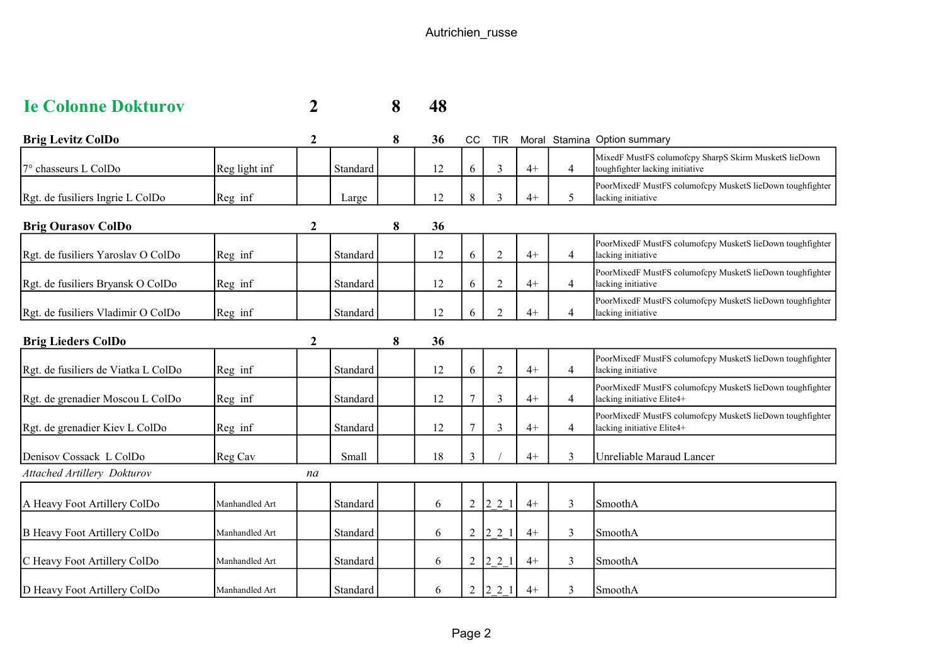| <b>Ie Colonne Dokturov</b> |  | 8 48 |
|----------------------------|--|------|
|                            |  |      |

| <b>Brig Levitz ColDo</b>            |               | $\mathbf 2$ |          | 8 | 36 | <b>CC</b>      | <b>TIR</b>     |      |                | Moral Stamina Option summary                                                             |
|-------------------------------------|---------------|-------------|----------|---|----|----------------|----------------|------|----------------|------------------------------------------------------------------------------------------|
| $7^\circ$ chasseurs L ColDo         | Reg light inf |             | Standard |   | 12 | 6              | 3              | $4+$ | $\overline{4}$ | MixedF MustFS columofcpy SharpS Skirm MusketS lieDown<br>toughfighter lacking initiative |
| Rgt. de fusiliers Ingrie L ColDo    | Reg inf       |             | Large    |   | 12 | 8              | 3              | $4+$ | 5              | PoorMixedF MustFS columofcpy MusketS lieDown toughfighter<br>lacking initiative          |
| <b>Brig Ourasov ColDo</b>           |               | 2           |          | 8 | 36 |                |                |      |                |                                                                                          |
| Rgt. de fusiliers Yaroslav O ColDo  | Reg inf       |             | Standard |   | 12 | 6              | $\overline{2}$ | $4+$ | $\overline{4}$ | PoorMixedF MustFS columofcpy MusketS lieDown toughfighter<br>lacking initiative          |
| Rgt. de fusiliers Bryansk O ColDo   | Reg inf       |             | Standard |   | 12 | 6              | $\overline{2}$ | $4+$ | $\overline{4}$ | PoorMixedF MustFS columofcpy MusketS lieDown toughfighter<br>lacking initiative          |
| Rgt. de fusiliers Vladimir O ColDo  | Reg inf       |             | Standard |   | 12 | 6              | $\overline{2}$ | $4+$ | $\overline{4}$ | PoorMixedF MustFS columofcpy MusketS lieDown toughfighter<br>lacking initiative          |
| <b>Brig Lieders ColDo</b>           |               | $\mathbf 2$ |          | 8 | 36 |                |                |      |                |                                                                                          |
| Rgt. de fusiliers de Viatka L ColDo | Reg inf       |             | Standard |   | 12 | 6              | $\overline{2}$ | $4+$ | $\overline{4}$ | PoorMixedF MustFS columofcpy MusketS lieDown toughfighter<br>lacking initiative          |
| Rgt. de grenadier Moscou L ColDo    | Reg inf       |             | Standard |   | 12 | $\overline{7}$ | 3              | $4+$ | $\overline{4}$ | PoorMixedF MustFS columofcpy MusketS lieDown toughfighter<br>lacking initiative Elite4+  |
| Rgt. de grenadier Kiev L ColDo      | Reg inf       |             | Standard |   | 12 | $\overline{7}$ | 3              | $4+$ | 4              | PoorMixedF MustFS columofcpy MusketS lieDown toughfighter<br>lacking initiative Elite4+  |
| Denisov Cossack L ColDo             | Reg Cav       |             | Small    |   | 18 | 3              |                | $4+$ | 3              | Unreliable Maraud Lancer                                                                 |
| <b>Attached Artillery Dokturov</b>  |               | na          |          |   |    |                |                |      |                |                                                                                          |
|                                     |               |             |          |   |    |                |                |      |                |                                                                                          |

| A Heavy Foot Artillery ColDo | Manhandled Art | <b>Standard</b> | 6            | $12\,2$                               |  | SmoothA  |
|------------------------------|----------------|-----------------|--------------|---------------------------------------|--|----------|
|                              |                |                 |              |                                       |  |          |
| B Heavy Foot Artillery ColDo | Manhandled Art | Standard        | <sub>0</sub> |                                       |  | SmoothA  |
|                              |                |                 |              |                                       |  |          |
| C Heavy Foot Artillery ColDo | Manhandled Art | Standard        | 6            | $\begin{bmatrix} 2 & 2 \end{bmatrix}$ |  | SmoothA  |
|                              |                |                 |              |                                       |  |          |
| D Heavy Foot Artillery ColDo | Manhandled Art | Standard        | <sub>n</sub> |                                       |  | 'SmoothA |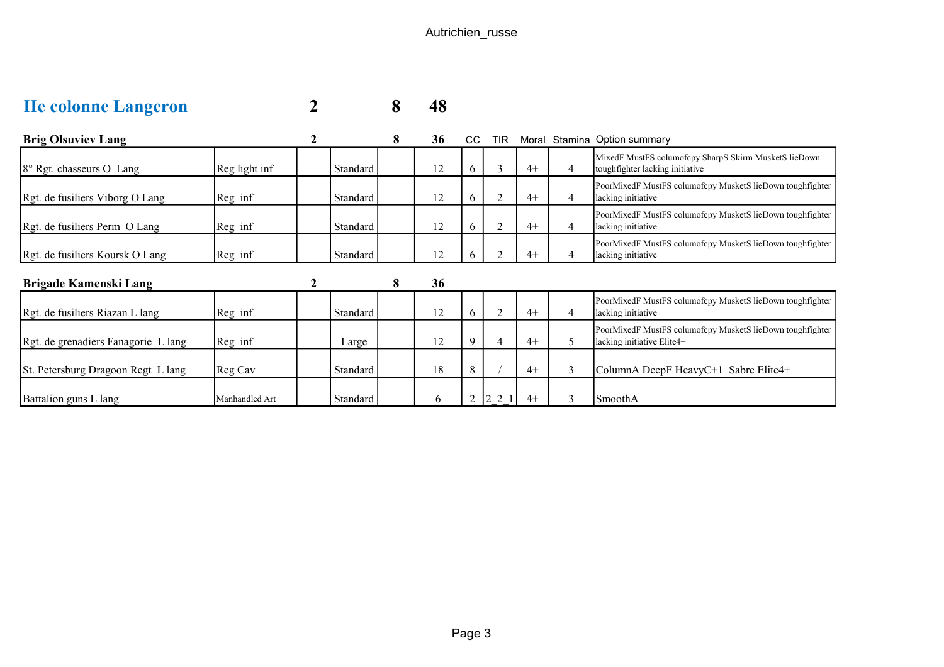| <b>He colonne Langeron</b> |  | 8 48 |
|----------------------------|--|------|
|                            |  |      |

| <b>Brig Olsuviev Lang</b>           |                |          | 8 | 36 | CC.            | <b>TIR</b>                            | Moral |   | <b>Stamina Option summary</b>                                                            |
|-------------------------------------|----------------|----------|---|----|----------------|---------------------------------------|-------|---|------------------------------------------------------------------------------------------|
| 8° Rgt. chasseurs O Lang            | Reg light inf  | Standard |   | 12 | 6              | 3                                     | $4+$  | 4 | MixedF MustFS columofcpy SharpS Skirm MusketS lieDown<br>toughfighter lacking initiative |
| Rgt. de fusiliers Viborg O Lang     | Reg inf        | Standard |   | 12 | 6              |                                       | $4+$  | 4 | PoorMixedF MustFS columofcpy MusketS lieDown toughfighter<br>lacking initiative          |
| Rgt. de fusiliers Perm O Lang       | Reg inf        | Standard |   | 12 | 6              | $\overline{2}$                        | $4+$  | 4 | PoorMixedF MustFS columofcpy MusketS lieDown toughfighter<br>lacking initiative          |
| Rgt. de fusiliers Koursk O Lang     | Reg inf        | Standard |   | 12 | O.             |                                       | $4+$  | 4 | PoorMixedF MustFS columofcpy MusketS lieDown toughfighter<br>lacking initiative          |
| Brigade Kamenski Lang               |                |          | 8 | 36 |                |                                       |       |   |                                                                                          |
| Rgt. de fusiliers Riazan L lang     | Reg inf        | Standard |   | 12 | 6              |                                       | $4+$  | 4 | PoorMixedF MustFS columofcpy MusketS lieDown toughfighter<br>lacking initiative          |
| Rgt. de grenadiers Fanagorie L lang | Reg inf        | Large    |   | 12 | 9              | 4                                     | $4+$  | 5 | PoorMixedF MustFS columofcpy MusketS lieDown toughfighter<br>lacking initiative Elite4+  |
| St. Petersburg Dragoon Regt L lang  | Reg Cav        | Standard |   | 18 | 8              |                                       | $4+$  | 3 | ColumnA DeepF HeavyC+1 Sabre Elite4+                                                     |
| Battalion guns L lang               | Manhandled Art | Standard |   | 6  | $\overline{2}$ | $\begin{bmatrix} 2 & 2 \end{bmatrix}$ | $4+$  | 3 | SmoothA                                                                                  |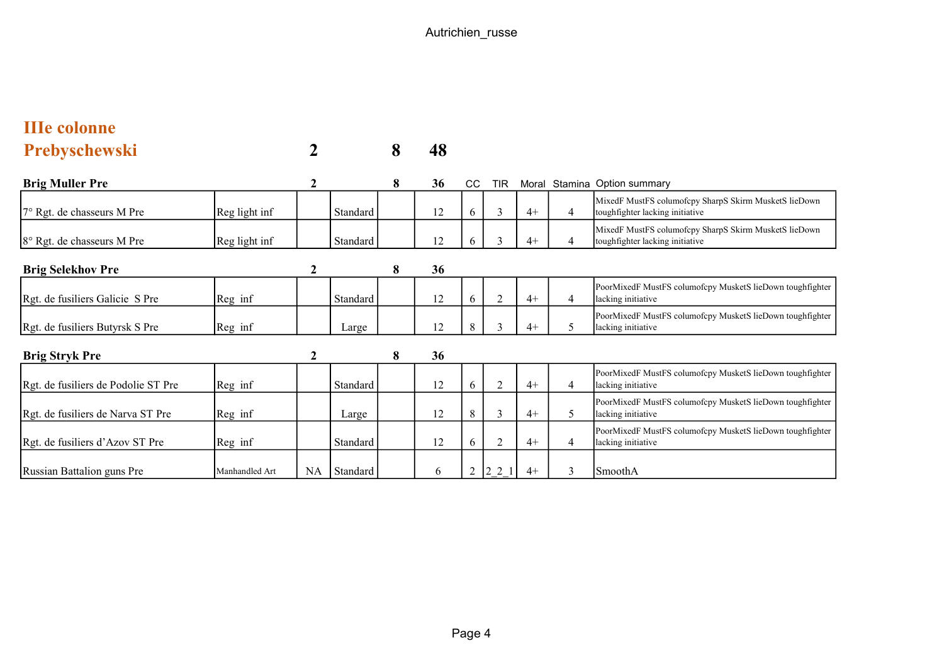| <b>IIIe colonne</b>                 |                |     |          |   |    |    |                |       |                |                                                                                          |
|-------------------------------------|----------------|-----|----------|---|----|----|----------------|-------|----------------|------------------------------------------------------------------------------------------|
| <b>Prebyschewski</b>                |                |     |          | 8 | 48 |    |                |       |                |                                                                                          |
| <b>Brig Muller Pre</b>              |                | 2   |          | 8 | 36 | CC | <b>TIR</b>     | Moral |                | Stamina Option summary                                                                   |
| 7° Rgt. de chasseurs M Pre          | Reg light inf  |     | Standard |   | 12 | 6  | 3              | $4+$  | $\overline{4}$ | MixedF MustFS columofcpy SharpS Skirm MusketS lieDown<br>toughfighter lacking initiative |
| 8° Rgt. de chasseurs M Pre          | Reg light inf  |     | Standard |   | 12 | 6  | $\mathfrak{Z}$ | $4+$  | $\overline{4}$ | MixedF MustFS columofcpy SharpS Skirm MusketS lieDown<br>toughfighter lacking initiative |
| <b>Brig Selekhov Pre</b>            |                | 2   |          | 8 | 36 |    |                |       |                |                                                                                          |
| Rgt. de fusiliers Galicie S Pre     | Reg inf        |     | Standard |   | 12 | 6  | $\overline{2}$ | $4+$  | $\overline{4}$ | PoorMixedF MustFS columofcpy MusketS lieDown toughfighter<br>lacking initiative          |
| Rgt. de fusiliers Butyrsk S Pre     | Reg inf        |     | Large    |   | 12 | 8  | 3              | $4+$  | 5              | PoorMixedF MustFS columofcpy MusketS lieDown toughfighter<br>lacking initiative          |
| <b>Brig Stryk Pre</b>               |                | 2   |          | 8 | 36 |    |                |       |                |                                                                                          |
| Rgt. de fusiliers de Podolie ST Pre | Reg inf        |     | Standard |   | 12 | 6  | $\overline{2}$ | $4+$  | $\overline{4}$ | PoorMixedF MustFS columofcpy MusketS lieDown toughfighter<br>lacking initiative          |
| Rgt. de fusiliers de Narva ST Pre   | Reg inf        |     | Large    |   | 12 | 8  | $\mathfrak{Z}$ | $4+$  | 5              | PoorMixedF MustFS columofcpy MusketS lieDown toughfighter<br>lacking initiative          |
| Rgt. de fusiliers d'Azov ST Pre     | Reg inf        |     | Standard |   | 12 | 6  | $\overline{2}$ | $4+$  | $\overline{4}$ | PoorMixedF MustFS columofcpy MusketS lieDown toughfighter<br>lacking initiative          |
| Russian Battalion guns Pre          | Manhandled Art | NA. | Standard |   | 6  | 2  | 2 2 1          | $4+$  | $\mathbf{3}$   | SmoothA                                                                                  |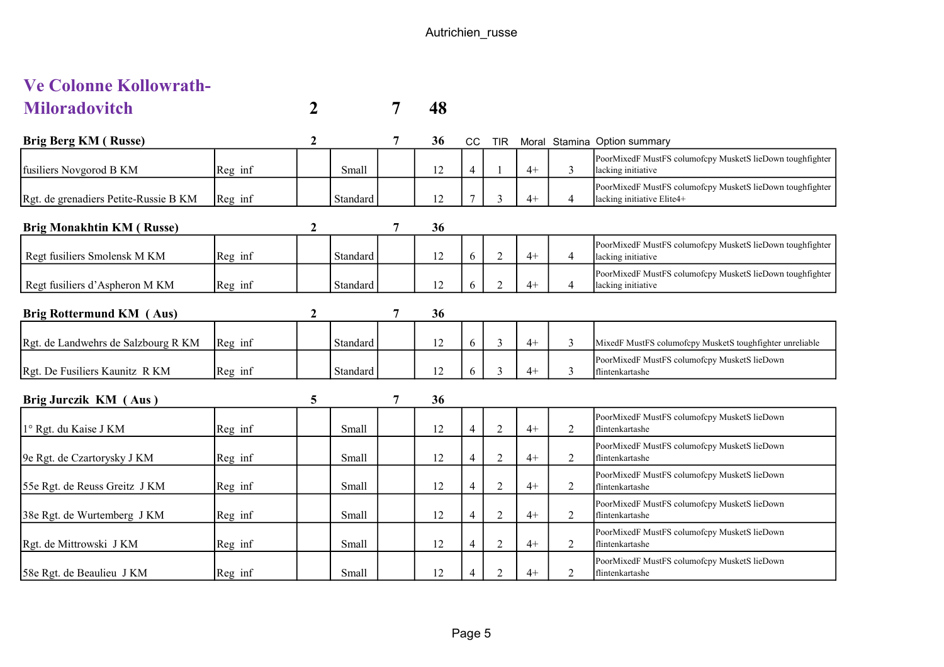| <b>Ve Colonne Kollowrath-</b> |  |    |
|-------------------------------|--|----|
| <b>Miloradovitch</b>          |  | 48 |

| Brig Berg KM (Russe)                  |         |              |          |   | 36 | <sub>CC</sub>  | <b>TIR</b>                  | Moral |                | Stamina Option summary                                                                  |
|---------------------------------------|---------|--------------|----------|---|----|----------------|-----------------------------|-------|----------------|-----------------------------------------------------------------------------------------|
| fusiliers Novgorod B KM               | Reg inf |              | Small    |   | 12 | $\overline{4}$ |                             | $4+$  | 3              | PoorMixedF MustFS columofcpy MusketS lieDown toughfighter<br>lacking initiative         |
| Rgt. de grenadiers Petite-Russie B KM | Reg inf |              | Standard |   | 12 | $\mathbf{r}$   | 3                           | $4+$  | $\overline{4}$ | PoorMixedF MustFS columofcpy MusketS lieDown toughfighter<br>lacking initiative Elite4+ |
| <b>Brig Monakhtin KM (Russe)</b>      |         | 2            |          | 7 | 36 |                |                             |       |                |                                                                                         |
| Regt fusiliers Smolensk M KM          | Reg inf |              | Standard |   | 12 | 6              | $\overline{2}$              | $4+$  | $\overline{4}$ | PoorMixedF MustFS columofcpy MusketS lieDown toughfighter<br>lacking initiative         |
| Regt fusiliers d'Aspheron M KM        | Reg inf |              | Standard |   | 12 | 6              | $\mathcal{D}_{\mathcal{L}}$ | $4+$  | $\overline{4}$ | PoorMixedF MustFS columofcpy MusketS lieDown toughfighter<br>lacking initiative         |
| Brig Rottermund KM (Aus)              |         | $\mathbf{2}$ |          | 7 | 36 |                |                             |       |                |                                                                                         |
| Rgt. de Landwehrs de Salzbourg R KM   | Reg inf |              | Standard |   | 12 | 6              | 3                           | $4+$  | 3              | MixedF MustFS columofcpy MusketS toughfighter unreliable                                |
| Rgt. De Fusiliers Kaunitz R KM        | Reg inf |              | Standard |   | 12 | 6              | $\mathbf{3}$                | $4+$  | 3              | PoorMixedF MustFS columofcpy MusketS lieDown<br>flintenkartashe                         |
| Brig Jurczik KM (Aus)                 |         | 5            |          | 7 | 36 |                |                             |       |                |                                                                                         |
| 1° Rgt. du Kaise J KM                 | Reg inf |              | Small    |   | 12 | 4              | $\overline{2}$              | $4+$  | $\overline{2}$ | PoorMixedF MustFS columofcpy MusketS lieDown<br>flintenkartashe                         |
| 9e Rgt. de Czartorysky J KM           | Reg inf |              | Small    |   | 12 | 4              | $\overline{2}$              | $4+$  | 2              | PoorMixedF MustFS columofcpy MusketS lieDown<br>flintenkartashe                         |
|                                       |         |              |          |   |    |                |                             |       |                | PoorMixedF MustFS columofcpy MusketS lieDown                                            |

55e Rgt. de Reuss Greitz J KM Reg inf Small 12 4 2 4+ 2

38e Rgt. de Wurtemberg J KM Reg inf Small 12 4 2 4+ 2

Rgt. de Mittrowski J KM Reg inf Small 12 4 2 4+ 2

58e Rgt. de Beaulieu J KM Reg inf Small 12 4 2 4+ 2

flintenkartashe

flintenkartashe

flintenkartashe

flintenkartashe

PoorMixedF MustFS columofcpy MusketS lieDown

PoorMixedF MustFS columofcpy MusketS lieDown

PoorMixedF MustFS columofcpy MusketS lieDown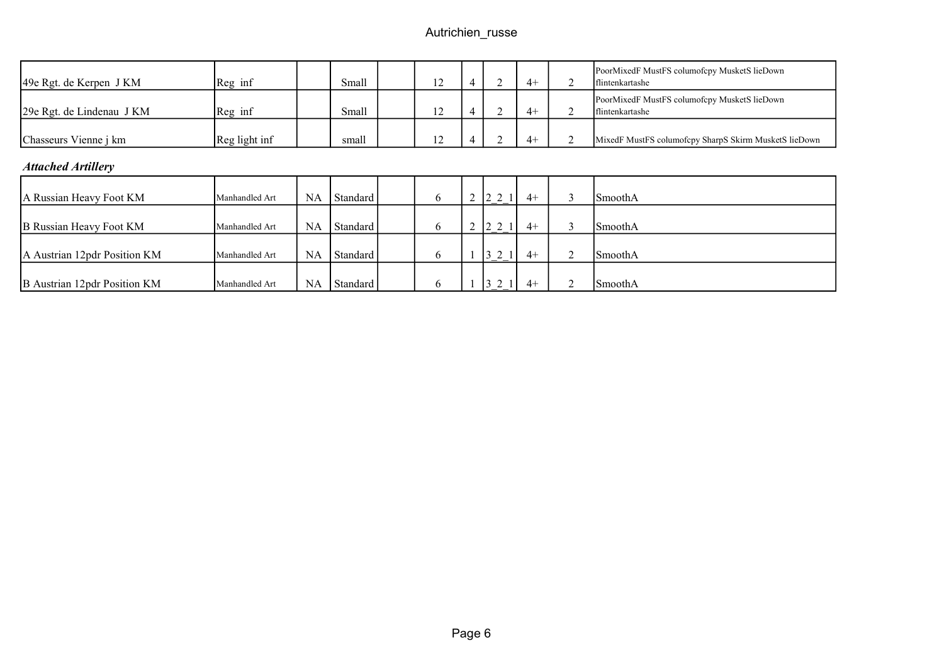| 49e Rgt. de Kerpen J KM      | Reg inf        |           | Small    | 12 | 4              |        | $4+$ | $\bigcap$ | PoorMixedF MustFS columofcpy MusketS lieDown<br>flintenkartashe        |
|------------------------------|----------------|-----------|----------|----|----------------|--------|------|-----------|------------------------------------------------------------------------|
| 29e Rgt. de Lindenau J KM    | Reg inf        |           | Small    | 12 | 4              |        | $4+$ | 2         | PoorMixedF MustFS columofcpy MusketS lieDown<br><b>flintenkartashe</b> |
| Chasseurs Vienne j km        | Reg light inf  |           | small    | 12 |                |        | $4+$ | 2         | MixedF MustFS columofcpy SharpS Skirm MusketS lieDown                  |
| <b>Attached Artillery</b>    |                |           |          |    |                |        |      |           |                                                                        |
| A Russian Heavy Foot KM      | Manhandled Art | NA        | Standard | 6  | $\overline{2}$ | 2 2 1  | $4+$ | 3         | <b>SmoothA</b>                                                         |
| B Russian Heavy Foot KM      | Manhandled Art | <b>NA</b> | Standard | 6  | $\overline{2}$ | 2 2 1  | $4+$ | 3         | SmoothA                                                                |
| A Austrian 12pdr Position KM | Manhandled Art | NA        | Standard | 6  |                | 3 2 1  | $4+$ | 2         | SmoothA                                                                |
| B Austrian 12pdr Position KM | Manhandled Art | NA        | Standard | 6  |                | $3\,2$ | $4+$ | 2         | l Smooth A                                                             |